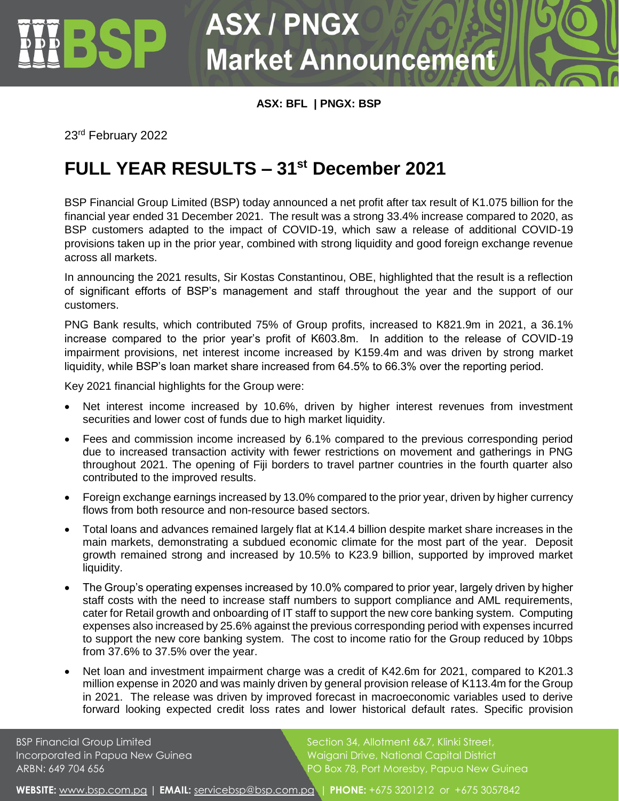## **ASX / PNGX Market Announcement**

**ASX: BFL | PNGX: BSP**

23rd February 2022

## **FULL YEAR RESULTS – 31st December 2021**

BSP Financial Group Limited (BSP) today announced a net profit after tax result of K1.075 billion for the financial year ended 31 December 2021. The result was a strong 33.4% increase compared to 2020, as BSP customers adapted to the impact of COVID-19, which saw a release of additional COVID-19 provisions taken up in the prior year, combined with strong liquidity and good foreign exchange revenue across all markets.

In announcing the 2021 results, Sir Kostas Constantinou, OBE, highlighted that the result is a reflection of significant efforts of BSP's management and staff throughout the year and the support of our customers.

PNG Bank results, which contributed 75% of Group profits, increased to K821.9m in 2021, a 36.1% increase compared to the prior year's profit of K603.8m. In addition to the release of COVID-19 impairment provisions, net interest income increased by K159.4m and was driven by strong market liquidity, while BSP's loan market share increased from 64.5% to 66.3% over the reporting period.

Key 2021 financial highlights for the Group were:

- Net interest income increased by 10.6%, driven by higher interest revenues from investment securities and lower cost of funds due to high market liquidity.
- Fees and commission income increased by 6.1% compared to the previous corresponding period due to increased transaction activity with fewer restrictions on movement and gatherings in PNG throughout 2021. The opening of Fiji borders to travel partner countries in the fourth quarter also contributed to the improved results.
- Foreign exchange earnings increased by 13.0% compared to the prior year, driven by higher currency flows from both resource and non-resource based sectors.
- Total loans and advances remained largely flat at K14.4 billion despite market share increases in the main markets, demonstrating a subdued economic climate for the most part of the year. Deposit growth remained strong and increased by 10.5% to K23.9 billion, supported by improved market liquidity.
- The Group's operating expenses increased by 10.0% compared to prior year, largely driven by higher staff costs with the need to increase staff numbers to support compliance and AML requirements, cater for Retail growth and onboarding of IT staff to support the new core banking system. Computing expenses also increased by 25.6% against the previous corresponding period with expenses incurred to support the new core banking system. The cost to income ratio for the Group reduced by 10bps from 37.6% to 37.5% over the year.
- Net loan and investment impairment charge was a credit of K42.6m for 2021, compared to K201.3 million expense in 2020 and was mainly driven by general provision release of K113.4m for the Group in 2021. The release was driven by improved forecast in macroeconomic variables used to derive forward looking expected credit loss rates and lower historical default rates. Specific provision

BSP Financial Group Limited Section 34, Allotment 6&7, Klinki Street, Incorporated in Papua New Guinea Waigani Drive, National Capital District ARBN: 649 704 656 PO Box 78, Port Moresby, Papua New Guinea